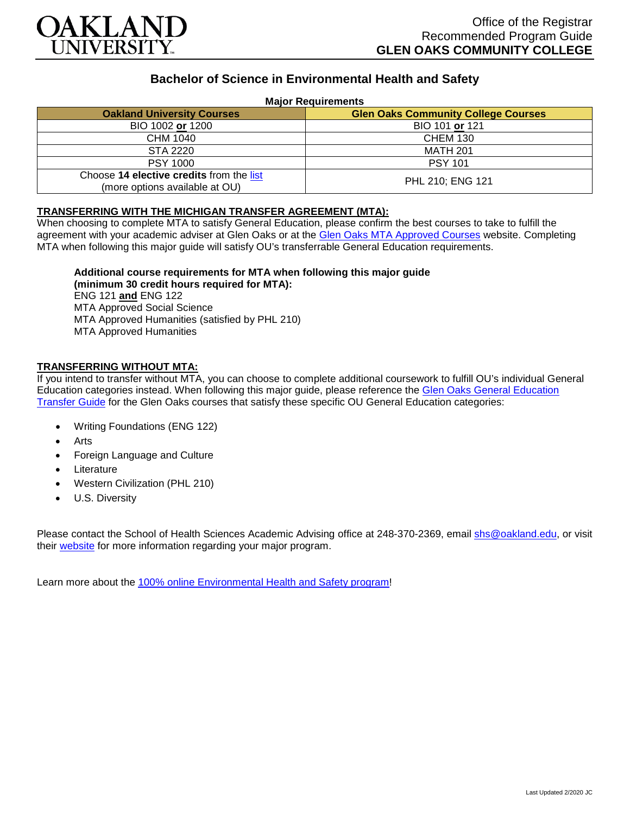

# **Bachelor of Science in Environmental Health and Safety**

#### **Major Requirements**

| <b>Oakland University Courses</b>                                          | <b>Glen Oaks Community College Courses</b> |
|----------------------------------------------------------------------------|--------------------------------------------|
| BIO 1002 or 1200                                                           | BIO 101 or 121                             |
| CHM 1040                                                                   | <b>CHEM 130</b>                            |
| STA 2220                                                                   | <b>MATH 201</b>                            |
| <b>PSY 1000</b>                                                            | <b>PSY 101</b>                             |
| Choose 14 elective credits from the list<br>(more options available at OU) | PHL 210; ENG 121                           |

### **TRANSFERRING WITH THE MICHIGAN TRANSFER AGREEMENT (MTA):**

When choosing to complete MTA to satisfy General Education, please confirm the best courses to take to fulfill the agreement with your academic adviser at Glen Oaks or at the [Glen Oaks MTA Approved Courses](https://www.glenoaks.edu/current-students/registration-records/#MTA) website. Completing MTA when following this major guide will satisfy OU's transferrable General Education requirements.

## **Additional course requirements for MTA when following this major guide**

**(minimum 30 credit hours required for MTA):** ENG 121 **and** ENG 122 MTA Approved Social Science MTA Approved Humanities (satisfied by PHL 210) MTA Approved Humanities

#### **TRANSFERRING WITHOUT MTA:**

If you intend to transfer without MTA, you can choose to complete additional coursework to fulfill OU's individual General Education categories instead. When following this major guide, please reference the [Glen Oaks General Education](https://www.oakland.edu/Assets/Oakland/program-guides/glen-oaks-community-college/university-general-education-requirements/Glen%20Oaks%20Gen%20Ed.pdf)  [Transfer Guide](https://www.oakland.edu/Assets/Oakland/program-guides/glen-oaks-community-college/university-general-education-requirements/Glen%20Oaks%20Gen%20Ed.pdf) for the Glen Oaks courses that satisfy these specific OU General Education categories:

- Writing Foundations (ENG 122)
- **Arts**
- Foreign Language and Culture
- **Literature**
- Western Civilization (PHL 210)
- U.S. Diversity

Please contact the School of Health Sciences Academic Advising office at 248-370-2369, email [shs@oakland.edu,](mailto:shs@oakland.edu) or visit their [website](http://www.oakland.edu/shs/advising) for more information regarding your major program.

Learn more about the [100% online Environmental Health and Safety program!](https://www.oakland.edu/online/undergraduate-degree-programs/ehs/)